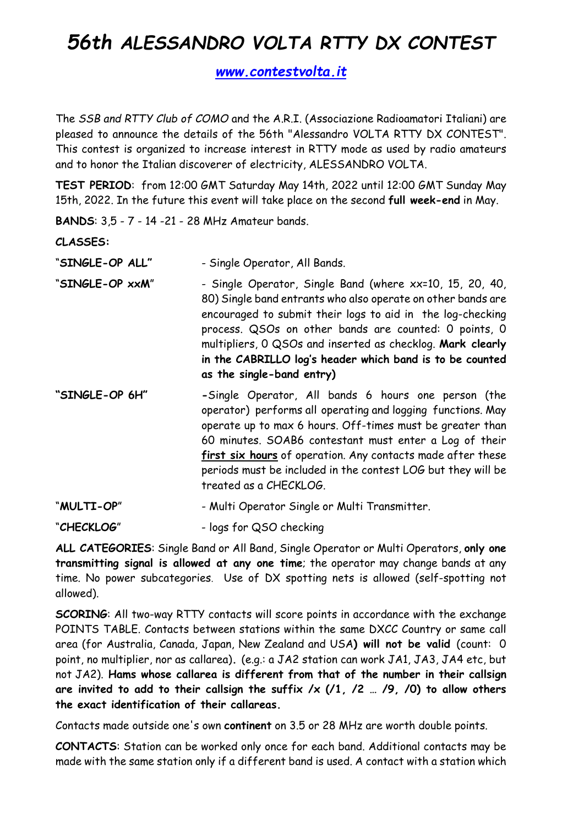## 56th ALESSANDRO VOLTA RTTY DX CONTEST

www.contestvolta.it

The SSB and RTTY Club of COMO and the A.R.I. (Associazione Radioamatori Italiani) are pleased to announce the details of the 56th "Alessandro VOLTA RTTY DX CONTEST". This contest is organized to increase interest in RTTY mode as used by radio amateurs and to honor the Italian discoverer of electricity, ALESSANDRO VOLTA.

TEST PERIOD: from 12:00 GMT Saturday May 14th, 2022 until 12:00 GMT Sunday May 15th, 2022. In the future this event will take place on the second full week-end in May.

BANDS: 3,5 - 7 - 14 -21 - 28 MHz Amateur bands.

CLASSES:

- "SINGLE-OP ALL" Single Operator, All Bands.
- "SINGLE-OP xxM" Single Operator, Single Band (where xx=10, 15, 20, 40, 80) Single band entrants who also operate on other bands are encouraged to submit their logs to aid in the log-checking process. QSOs on other bands are counted: 0 points, 0 multipliers, 0 QSOs and inserted as checklog. Mark clearly in the CABRILLO log's header which band is to be counted as the single-band entry)
- "SINGLE-OP 6H" -Single Operator, All bands 6 hours one person (the operator) performs all operating and logging functions. May operate up to max 6 hours. Off-times must be greater than 60 minutes. SOAB6 contestant must enter a Log of their first six hours of operation. Any contacts made after these periods must be included in the contest LOG but they will be treated as a CHECKLOG.

"MULTI-OP" - Multi Operator Single or Multi Transmitter.

"CHECKLOG" - logs for QSO checking

ALL CATEGORIES: Single Band or All Band, Single Operator or Multi Operators, only one transmitting signal is allowed at any one time; the operator may change bands at any time. No power subcategories. Use of DX spotting nets is allowed (self-spotting not allowed).

SCORING: All two-way RTTY contacts will score points in accordance with the exchange POINTS TABLE. Contacts between stations within the same DXCC Country or same call area (for Australia, Canada, Japan, New Zealand and USA) will not be valid (count: 0 point, no multiplier, nor as callarea). (e.g.: a JA2 station can work JA1, JA3, JA4 etc, but not JA2). Hams whose callarea is different from that of the number in their callsign are invited to add to their callsign the suffix  $/x$  ( $/1$ ,  $/2$  ...  $/9$ ,  $/0$ ) to allow others the exact identification of their callareas.

Contacts made outside one's own continent on 3.5 or 28 MHz are worth double points.

CONTACTS: Station can be worked only once for each band. Additional contacts may be made with the same station only if a different band is used. A contact with a station which